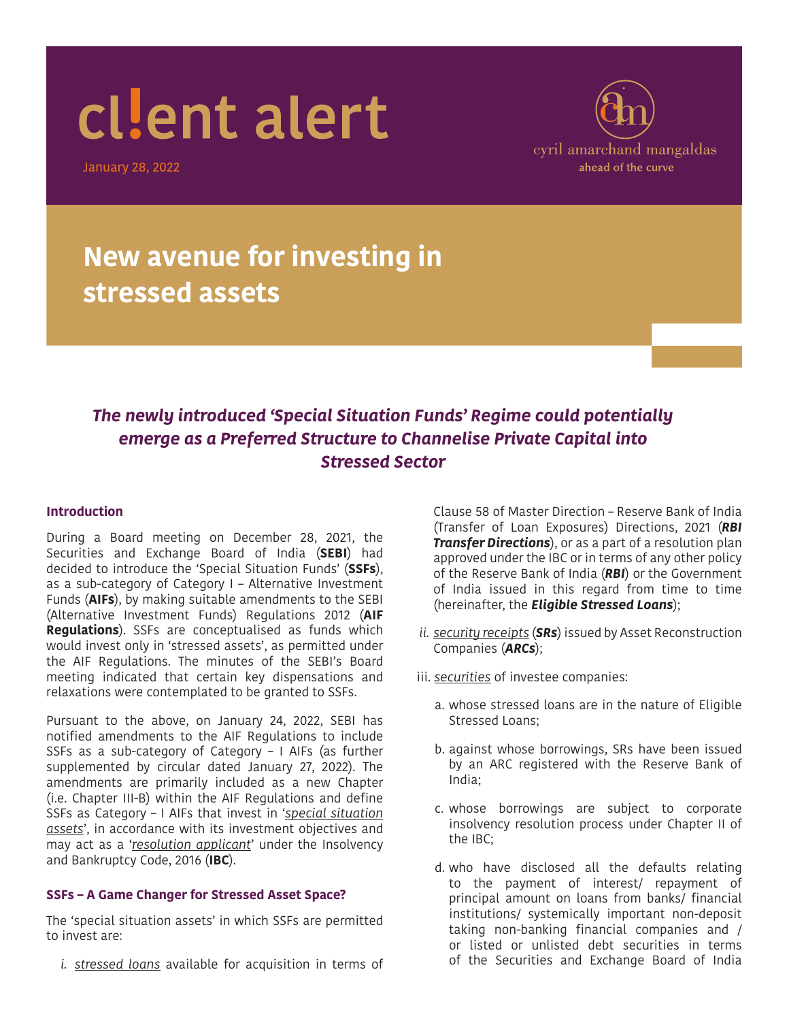January 28, 2022



### **New avenue for investing in stressed assets**

#### *The newly introduced 'Special Situation Funds' Regime could potentially emerge as a Preferred Structure to Channelise Private Capital into Stressed Sector*

#### **Introduction**

During a Board meeting on December 28, 2021, the Securities and Exchange Board of India (**SEBI**) had decided to introduce the 'Special Situation Funds' (**SSFs**), as a sub-category of Category I – Alternative Investment Funds (**AIFs**), by making suitable amendments to the SEBI (Alternative Investment Funds) Regulations 2012 (**AIF Regulations**). SSFs are conceptualised as funds which would invest only in 'stressed assets', as permitted under the AIF Regulations. The minutes of the SEBI's Board meeting indicated that certain key dispensations and relaxations were contemplated to be granted to SSFs.

Pursuant to the above, on January 24, 2022, SEBI has notified amendments to the AIF Regulations to include SSFs as a sub-category of Category – I AIFs (as further supplemented by circular dated January 27, 2022). The amendments are primarily included as a new Chapter (i.e. Chapter III-B) within the AIF Regulations and define SSFs as Category – I AIFs that invest in '*special situation assets*', in accordance with its investment objectives and may act as a '*resolution applicant*' under the Insolvency and Bankruptcy Code, 2016 (**IBC**).

#### **SSFs – A Game Changer for Stressed Asset Space?**

The 'special situation assets' in which SSFs are permitted to invest are:

*i. stressed loans* available for acquisition in terms of

Clause 58 of Master Direction – Reserve Bank of India (Transfer of Loan Exposures) Directions, 2021 (*RBI Transfer Directions*), or as a part of a resolution plan approved under the IBC or in terms of any other policy of the Reserve Bank of India (*RBI*) or the Government of India issued in this regard from time to time (hereinafter, the *Eligible Stressed Loans*);

- *ii. security receipts* (*SRs*) issued by Asset Reconstruction Companies (*ARCs*);
- iii. *securities* of investee companies:
	- a. whose stressed loans are in the nature of Eligible Stressed Loans;
	- b. against whose borrowings, SRs have been issued by an ARC registered with the Reserve Bank of India;
	- c. whose borrowings are subject to corporate insolvency resolution process under Chapter II of the IBC;
	- d. who have disclosed all the defaults relating to the payment of interest/ repayment of principal amount on loans from banks/ financial institutions/ systemically important non-deposit taking non-banking financial companies and / or listed or unlisted debt securities in terms of the Securities and Exchange Board of India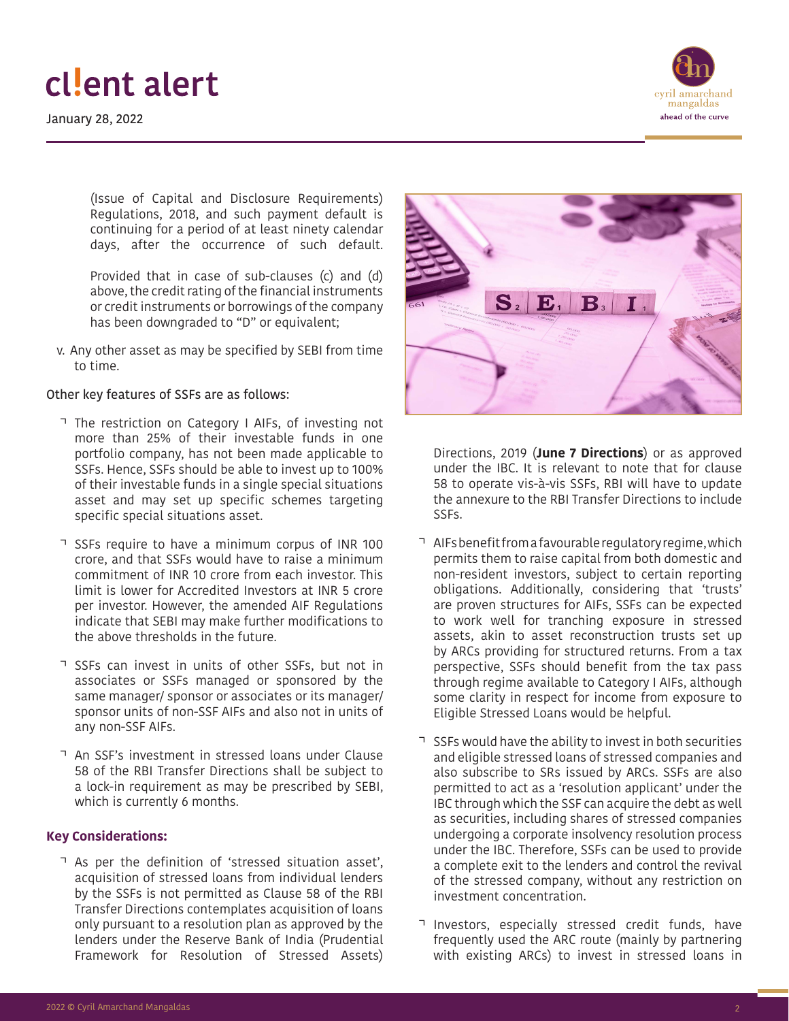January 28, 2022



(Issue of Capital and Disclosure Requirements) Regulations, 2018, and such payment default is continuing for a period of at least ninety calendar days, after the occurrence of such default.

Provided that in case of sub-clauses (c) and (d) above, the credit rating of the financial instruments or credit instruments or borrowings of the company has been downgraded to "D" or equivalent;

v. Any other asset as may be specified by SEBI from time to time.

#### Other key features of SSFs are as follows:

- The restriction on Category I AIFs, of investing not more than 25% of their investable funds in one portfolio company, has not been made applicable to SSFs. Hence, SSFs should be able to invest up to 100% of their investable funds in a single special situations asset and may set up specific schemes targeting specific special situations asset.
- SSFs require to have a minimum corpus of INR 100 crore, and that SSFs would have to raise a minimum commitment of INR 10 crore from each investor. This limit is lower for Accredited Investors at INR 5 crore per investor. However, the amended AIF Regulations indicate that SEBI may make further modifications to the above thresholds in the future.
- SSFs can invest in units of other SSFs, but not in associates or SSFs managed or sponsored by the same manager/ sponsor or associates or its manager/ sponsor units of non-SSF AIFs and also not in units of any non-SSF AIFs.
- An SSF's investment in stressed loans under Clause 58 of the RBI Transfer Directions shall be subject to a lock-in requirement as may be prescribed by SEBI, which is currently 6 months.

#### **Key Considerations:**

• As per the definition of 'stressed situation asset', acquisition of stressed loans from individual lenders by the SSFs is not permitted as Clause 58 of the RBI Transfer Directions contemplates acquisition of loans only pursuant to a resolution plan as approved by the lenders under the Reserve Bank of India (Prudential Framework for Resolution of Stressed Assets)



Directions, 2019 (**June 7 Directions**) or as approved under the IBC. It is relevant to note that for clause 58 to operate vis-à-vis SSFs, RBI will have to update the annexure to the RBI Transfer Directions to include SSFs.

- AIFs benefit from a favourable regulatory regime, which permits them to raise capital from both domestic and non-resident investors, subject to certain reporting obligations. Additionally, considering that 'trusts' are proven structures for AIFs, SSFs can be expected to work well for tranching exposure in stressed assets, akin to asset reconstruction trusts set up by ARCs providing for structured returns. From a tax perspective, SSFs should benefit from the tax pass through regime available to Category I AIFs, although some clarity in respect for income from exposure to Eligible Stressed Loans would be helpful.
- SSFs would have the ability to invest in both securities and eligible stressed loans of stressed companies and also subscribe to SRs issued by ARCs. SSFs are also permitted to act as a 'resolution applicant' under the IBC through which the SSF can acquire the debt as well as securities, including shares of stressed companies undergoing a corporate insolvency resolution process under the IBC. Therefore, SSFs can be used to provide a complete exit to the lenders and control the revival of the stressed company, without any restriction on investment concentration.
- Investors, especially stressed credit funds, have frequently used the ARC route (mainly by partnering with existing ARCs) to invest in stressed loans in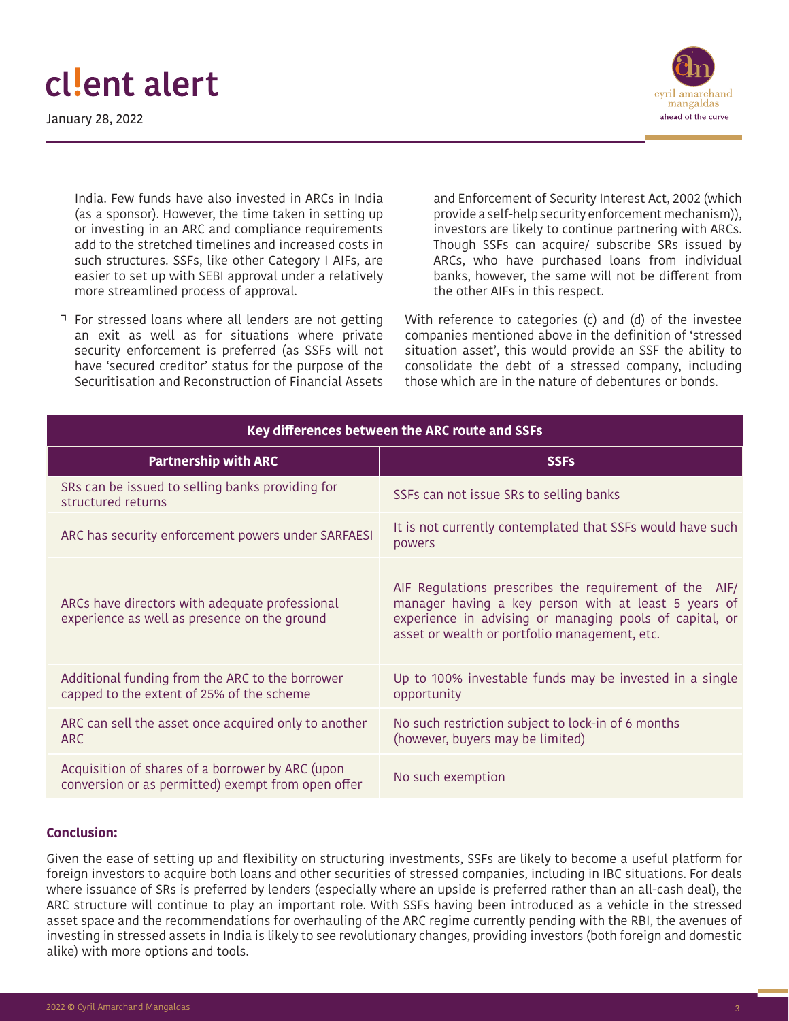January 28, 2022



India. Few funds have also invested in ARCs in India (as a sponsor). However, the time taken in setting up or investing in an ARC and compliance requirements add to the stretched timelines and increased costs in such structures. SSFs, like other Category I AIFs, are easier to set up with SEBI approval under a relatively more streamlined process of approval.

For stressed loans where all lenders are not getting an exit as well as for situations where private security enforcement is preferred (as SSFs will not have 'secured creditor' status for the purpose of the Securitisation and Reconstruction of Financial Assets

and Enforcement of Security Interest Act, 2002 (which provide a self-help security enforcement mechanism)), investors are likely to continue partnering with ARCs. Though SSFs can acquire/ subscribe SRs issued by ARCs, who have purchased loans from individual banks, however, the same will not be different from the other AIFs in this respect.

With reference to categories (c) and (d) of the investee companies mentioned above in the definition of 'stressed situation asset', this would provide an SSF the ability to consolidate the debt of a stressed company, including those which are in the nature of debentures or bonds.

| Key differences between the ARC route and SSFs                                                         |                                                                                                                                                                                                                            |
|--------------------------------------------------------------------------------------------------------|----------------------------------------------------------------------------------------------------------------------------------------------------------------------------------------------------------------------------|
| <b>Partnership with ARC</b>                                                                            | <b>SSFs</b>                                                                                                                                                                                                                |
| SRs can be issued to selling banks providing for<br>structured returns                                 | SSFs can not issue SRs to selling banks                                                                                                                                                                                    |
| ARC has security enforcement powers under SARFAESI                                                     | It is not currently contemplated that SSFs would have such<br>powers                                                                                                                                                       |
| ARCs have directors with adequate professional<br>experience as well as presence on the ground         | AIF Regulations prescribes the requirement of the AIF/<br>manager having a key person with at least 5 years of<br>experience in advising or managing pools of capital, or<br>asset or wealth or portfolio management, etc. |
| Additional funding from the ARC to the borrower<br>capped to the extent of 25% of the scheme           | Up to 100% investable funds may be invested in a single<br>opportunity                                                                                                                                                     |
| ARC can sell the asset once acquired only to another<br>ARC                                            | No such restriction subject to lock-in of 6 months<br>(however, buyers may be limited)                                                                                                                                     |
| Acquisition of shares of a borrower by ARC (upon<br>conversion or as permitted) exempt from open offer | No such exemption                                                                                                                                                                                                          |

#### **Conclusion:**

Given the ease of setting up and flexibility on structuring investments, SSFs are likely to become a useful platform for foreign investors to acquire both loans and other securities of stressed companies, including in IBC situations. For deals where issuance of SRs is preferred by lenders (especially where an upside is preferred rather than an all-cash deal), the ARC structure will continue to play an important role. With SSFs having been introduced as a vehicle in the stressed asset space and the recommendations for overhauling of the ARC regime currently pending with the RBI, the avenues of investing in stressed assets in India is likely to see revolutionary changes, providing investors (both foreign and domestic alike) with more options and tools.